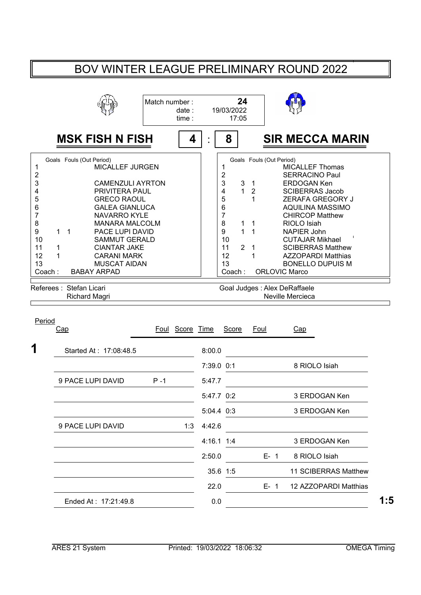## BOV WINTER LEAGUE PRELIMINARY ROUND 2022

|                                                                             |                                                                                                                                                                                                                                                                                                                | Match number:                                    | date:<br>time:  |                                                                                                          | 24<br>19/03/2022<br>17:05                                         |                                                                                 |                                                                                                                                                                                                                                                                                                                                                                                 |
|-----------------------------------------------------------------------------|----------------------------------------------------------------------------------------------------------------------------------------------------------------------------------------------------------------------------------------------------------------------------------------------------------------|--------------------------------------------------|-----------------|----------------------------------------------------------------------------------------------------------|-------------------------------------------------------------------|---------------------------------------------------------------------------------|---------------------------------------------------------------------------------------------------------------------------------------------------------------------------------------------------------------------------------------------------------------------------------------------------------------------------------------------------------------------------------|
|                                                                             | <b>MSK FISH N FISH</b>                                                                                                                                                                                                                                                                                         |                                                  | 4               | 8                                                                                                        |                                                                   |                                                                                 | <b>SIR MECCA MARIN</b>                                                                                                                                                                                                                                                                                                                                                          |
| 1<br>2<br>3<br>4<br>5<br>6<br>7<br>8<br>9<br>10<br>11<br>12<br>13<br>Coach: | Goals Fouls (Out Period)<br><b>MICALLEF JURGEN</b><br>PRIVITERA PAUL<br><b>GRECO RAOUL</b><br><b>GALEA GIANLUCA</b><br><b>NAVARRO KYLE</b><br>$\mathbf 1$<br>PACE LUPI DAVID<br>1.<br><b>SAMMUT GERALD</b><br><b>CIANTAR JAKE</b><br>1<br>1<br><b>CARANI MARK</b><br><b>MUSCAT AIDAN</b><br><b>BABAY ARPAD</b> | <b>CAMENZULI AYRTON</b><br><b>MANARA MALCOLM</b> |                 | 1<br>$\overline{c}$<br>3<br>$\overline{4}$<br>5<br>6<br>$\overline{7}$<br>8<br>9<br>10<br>11<br>12<br>13 | 3<br>$\mathbf 1$<br>1<br>$\mathbf{1}$<br>$\overline{2}$<br>Coach: | $\mathbf{1}$<br>$\overline{2}$<br>1<br>1<br>$\mathbf{1}$<br>$\overline{1}$<br>1 | Goals Fouls (Out Period)<br><b>MICALLEF Thomas</b><br><b>SERRACINO Paul</b><br><b>ERDOGAN Ken</b><br><b>SCIBERRAS Jacob</b><br><b>ZERAFA GREGORY J</b><br><b>AQUILINA MASSIMO</b><br><b>CHIRCOP Matthew</b><br>RIOLO Isiah<br>NAPIER John<br><b>CUTAJAR Mikhael</b><br><b>SCIBERRAS Matthew</b><br><b>AZZOPARDI Matthias</b><br><b>BONELLO DUPUIS M</b><br><b>ORLOVIC Marco</b> |
|                                                                             | Referees: Stefan Licari<br><b>Richard Magri</b>                                                                                                                                                                                                                                                                |                                                  |                 |                                                                                                          |                                                                   |                                                                                 | Goal Judges: Alex DeRaffaele<br>Neville Mercieca                                                                                                                                                                                                                                                                                                                                |
| Period                                                                      | Cap                                                                                                                                                                                                                                                                                                            |                                                  | Foul Score Time |                                                                                                          | Score                                                             | Foul                                                                            | Cap                                                                                                                                                                                                                                                                                                                                                                             |
| 1                                                                           | Started At: 17:08:48.5                                                                                                                                                                                                                                                                                         |                                                  |                 | 8:00.0<br>7:39.0 0:1                                                                                     |                                                                   |                                                                                 | 8 RIOLO Isiah                                                                                                                                                                                                                                                                                                                                                                   |
|                                                                             | 9 PACE LUPI DAVID                                                                                                                                                                                                                                                                                              | $P - 1$                                          |                 | 5:47.7                                                                                                   |                                                                   |                                                                                 |                                                                                                                                                                                                                                                                                                                                                                                 |
|                                                                             |                                                                                                                                                                                                                                                                                                                |                                                  |                 | 5:47.7 0:2                                                                                               |                                                                   |                                                                                 | 3 ERDOGAN Ken                                                                                                                                                                                                                                                                                                                                                                   |
|                                                                             |                                                                                                                                                                                                                                                                                                                |                                                  |                 | 5:04.4 0:3                                                                                               |                                                                   |                                                                                 | 3 ERDOGAN Ken                                                                                                                                                                                                                                                                                                                                                                   |

9 PACE LUPI DAVID 1:3 4:42.6 4:16.1 1:4 ERDOGAN Ken 3 2:50.0 **E-1** 8 RIOLO Isiah 35.6 1:5 11 SCIBERRAS Matthew 22.0 **E- 1 12 AZZOPARDI Matthias** Ended At : 17:21:49.8 **1:5** 0.0